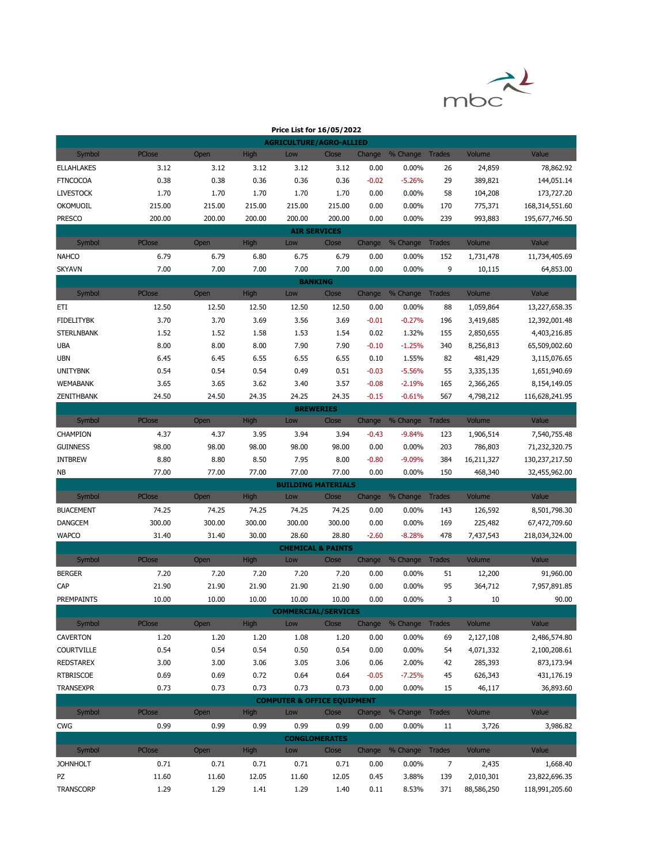

| <b>AGRICULTURE/AGRO-ALLIED</b><br>High<br>Change % Change Trades<br>Symbol<br>PClose<br>Volume<br>Value<br>Open<br>Low<br>Close<br><b>ELLAHLAKES</b><br>3.12<br>3.12<br>3.12<br>0.00%<br>24,859<br>3.12<br>3.12<br>0.00<br>26<br>78,862.92<br>0.36<br>29<br><b>FTNCOCOA</b><br>0.38<br>0.38<br>0.36<br>0.36<br>$-0.02$<br>$-5.26%$<br>389,821<br>144,051.14<br>1.70<br>1.70<br>1.70<br>58<br><b>LIVESTOCK</b><br>1.70<br>1.70<br>0.00<br>0.00%<br>104,208<br>173,727.20<br>215.00<br>215.00<br>215.00<br>215.00<br><b>OKOMUOIL</b><br>215.00<br>0.00<br>0.00%<br>170<br>775,371<br>168,314,551.60<br><b>PRESCO</b><br>239<br>200.00<br>200.00<br>200.00<br>200.00<br>200.00<br>0.00<br>0.00%<br>993,883<br>195,677,746.50<br><b>AIR SERVICES</b><br>Symbol<br>PClose<br>Open<br>High<br>Low<br>% Change<br><b>Trades</b><br>Volume<br>Value<br>Close<br>Change<br>6.79<br>6.79<br>6.80<br>6.75<br>6.79<br><b>NAHCO</b><br>0.00<br>0.00%<br>152<br>1,731,478<br>11,734,405.69<br>9<br>7.00<br>7.00<br>7.00<br>7.00<br>7.00<br><b>SKYAVN</b><br>0.00<br>0.00%<br>64,853.00<br>10,115<br><b>BANKING</b><br>PClose<br>Low<br>Volume<br>Value<br>Symbol<br>Open<br><b>High</b><br>Close<br>Change<br>% Change<br>Trades<br>12.50<br>12.50<br>ETI<br>12.50<br>12.50<br>12.50<br>0.00<br>0.00%<br>88<br>1,059,864<br>13,227,658.35<br>3.70<br>3.69<br>3.56<br>3.69<br>$-0.27%$<br><b>FIDELITYBK</b><br>3.70<br>$-0.01$<br>196<br>12,392,001.48<br>3,419,685<br>1.53<br>1.54<br><b>STERLNBANK</b><br>1.52<br>1.52<br>1.58<br>0.02<br>1.32%<br>2,850,655<br>4,403,216.85<br>155<br>7.90<br>7.90<br><b>UBA</b><br>8.00<br>8.00<br>8.00<br>$-0.10$<br>$-1.25%$<br>340<br>8,256,813<br>65,509,002.60<br>6.55<br>6.55<br><b>UBN</b><br>6.45<br>6.45<br>6.55<br>0.10<br>1.55%<br>82<br>481,429<br>3,115,076.65<br>0.54<br>0.49<br>0.51<br><b>UNITYBNK</b><br>0.54<br>0.54<br>$-0.03$<br>$-5.56%$<br>55<br>3,335,135<br>1,651,940.69<br>3.62<br>3.40<br>3.57<br><b>WEMABANK</b><br>3.65<br>3.65<br>$-0.08$<br>$-2.19%$<br>165<br>8,154,149.05<br>2,366,265<br>24.35<br>24.25<br>24.35<br>ZENITHBANK<br>24.50<br>24.50<br>$-0.15$<br>$-0.61%$<br>567<br>4,798,212<br>116,628,241.95<br><b>BREWERIES</b><br>Symbol<br>PClose<br>Open<br><b>High</b><br>Low<br>Close<br>Change % Change<br><b>Trades</b><br>Volume<br>Value<br>3.94<br>3.94<br>CHAMPION<br>4.37<br>4.37<br>3.95<br>$-9.84%$<br>123<br>1,906,514<br>7,540,755.48<br>$-0.43$<br><b>GUINNESS</b><br>98.00<br>98.00<br>98.00<br>98.00<br>98.00<br>0.00<br>0.00%<br>203<br>786,803<br>71,232,320.75<br><b>INTBREW</b><br>8.80<br>8.80<br>8.50<br>7.95<br>8.00<br>$-0.80$<br>$-9.09%$<br>384<br>16,211,327<br>130,237,217.50<br>77.00<br>77.00<br><b>NB</b><br>77.00<br>77.00<br>77.00<br>0.00<br>0.00%<br>150<br>468,340<br>32,455,962.00<br><b>BUILDING MATERIALS</b><br>Symbol<br>PClose<br><b>High</b><br>Close<br>Change % Change Trades<br>Volume<br>Value<br>Open<br>Low<br>74.25<br>74.25<br><b>BUACEMENT</b><br>74.25<br>74.25<br>74.25<br>0.00<br>0.00%<br>143<br>126,592<br>8,501,798.30<br>300.00<br>300.00<br>300.00<br>300.00<br>300.00<br>0.00%<br><b>DANGCEM</b><br>0.00<br>169<br>225,482<br>67,472,709.60<br><b>WAPCO</b><br>31.40<br>31.40<br>30.00<br>28.60<br>28.80<br>$-2.60$<br>$-8.28%$<br>478<br>218,034,324.00<br>7,437,543<br><b>CHEMICAL &amp; PAINTS</b><br>% Change<br>Symbol<br>PClose<br><b>High</b><br>Change<br><b>Trades</b><br>Volume<br>Value<br>Open<br>Low<br>Close<br>7.20<br><b>BERGER</b><br>7.20<br>7.20<br>7.20<br>7.20<br>0.00<br>0.00%<br>51<br>12,200<br>91,960.00<br>95<br>CAP<br>21.90<br>21.90<br>21.90<br>21.90<br>21.90<br>0.00<br>0.00%<br>364,712<br>7,957,891.85<br>10.00<br>10.00<br>10.00<br>10.00<br>10.00<br>0.00<br>0.00%<br>3<br>10<br>90.00<br>PREMPAINTS<br><b>COMMERCIAL/SERVICES</b><br>PClose<br>Value<br>Symbol<br>Open<br><b>High</b><br>Change % Change Trades<br>Volume<br>Low<br>Close<br><b>CAVERTON</b><br>1.20<br>1.20<br>1.20<br>1.08<br>1.20<br>0.00<br>0.00%<br>2,127,108<br>2,486,574.80<br>69<br><b>COURTVILLE</b><br>0.54<br>0.50<br>0.54<br>0.54<br>0.54<br>0.00<br>0.00%<br>4,071,332<br>54<br>2,100,208.61<br><b>REDSTAREX</b><br>3.00<br>3.00<br>3.06<br>3.05<br>3.06<br>0.06<br>2.00%<br>42<br>285,393<br>873,173.94 |  |  | Price List for 16/05/2022 |  |  |  |
|---------------------------------------------------------------------------------------------------------------------------------------------------------------------------------------------------------------------------------------------------------------------------------------------------------------------------------------------------------------------------------------------------------------------------------------------------------------------------------------------------------------------------------------------------------------------------------------------------------------------------------------------------------------------------------------------------------------------------------------------------------------------------------------------------------------------------------------------------------------------------------------------------------------------------------------------------------------------------------------------------------------------------------------------------------------------------------------------------------------------------------------------------------------------------------------------------------------------------------------------------------------------------------------------------------------------------------------------------------------------------------------------------------------------------------------------------------------------------------------------------------------------------------------------------------------------------------------------------------------------------------------------------------------------------------------------------------------------------------------------------------------------------------------------------------------------------------------------------------------------------------------------------------------------------------------------------------------------------------------------------------------------------------------------------------------------------------------------------------------------------------------------------------------------------------------------------------------------------------------------------------------------------------------------------------------------------------------------------------------------------------------------------------------------------------------------------------------------------------------------------------------------------------------------------------------------------------------------------------------------------------------------------------------------------------------------------------------------------------------------------------------------------------------------------------------------------------------------------------------------------------------------------------------------------------------------------------------------------------------------------------------------------------------------------------------------------------------------------------------------------------------------------------------------------------------------------------------------------------------------------------------------------------------------------------------------------------------------------------------------------------------------------------------------------------------------------------------------------------------------------------------------------------------------------------------------------------------------------------------------------------------------------------------------------------------------------------------------------------------------------------------------------------------------------------------------------------------------------------------------------------------------------------------------------------------------------------------------------------------------------------------------------------------------------------------------------------------------------------------------------------------------------------------------------------------------------------------------------------------------------|--|--|---------------------------|--|--|--|
|                                                                                                                                                                                                                                                                                                                                                                                                                                                                                                                                                                                                                                                                                                                                                                                                                                                                                                                                                                                                                                                                                                                                                                                                                                                                                                                                                                                                                                                                                                                                                                                                                                                                                                                                                                                                                                                                                                                                                                                                                                                                                                                                                                                                                                                                                                                                                                                                                                                                                                                                                                                                                                                                                                                                                                                                                                                                                                                                                                                                                                                                                                                                                                                                                                                                                                                                                                                                                                                                                                                                                                                                                                                                                                                                                                                                                                                                                                                                                                                                                                                                                                                                                                                                                                                   |  |  |                           |  |  |  |
|                                                                                                                                                                                                                                                                                                                                                                                                                                                                                                                                                                                                                                                                                                                                                                                                                                                                                                                                                                                                                                                                                                                                                                                                                                                                                                                                                                                                                                                                                                                                                                                                                                                                                                                                                                                                                                                                                                                                                                                                                                                                                                                                                                                                                                                                                                                                                                                                                                                                                                                                                                                                                                                                                                                                                                                                                                                                                                                                                                                                                                                                                                                                                                                                                                                                                                                                                                                                                                                                                                                                                                                                                                                                                                                                                                                                                                                                                                                                                                                                                                                                                                                                                                                                                                                   |  |  |                           |  |  |  |
|                                                                                                                                                                                                                                                                                                                                                                                                                                                                                                                                                                                                                                                                                                                                                                                                                                                                                                                                                                                                                                                                                                                                                                                                                                                                                                                                                                                                                                                                                                                                                                                                                                                                                                                                                                                                                                                                                                                                                                                                                                                                                                                                                                                                                                                                                                                                                                                                                                                                                                                                                                                                                                                                                                                                                                                                                                                                                                                                                                                                                                                                                                                                                                                                                                                                                                                                                                                                                                                                                                                                                                                                                                                                                                                                                                                                                                                                                                                                                                                                                                                                                                                                                                                                                                                   |  |  |                           |  |  |  |
|                                                                                                                                                                                                                                                                                                                                                                                                                                                                                                                                                                                                                                                                                                                                                                                                                                                                                                                                                                                                                                                                                                                                                                                                                                                                                                                                                                                                                                                                                                                                                                                                                                                                                                                                                                                                                                                                                                                                                                                                                                                                                                                                                                                                                                                                                                                                                                                                                                                                                                                                                                                                                                                                                                                                                                                                                                                                                                                                                                                                                                                                                                                                                                                                                                                                                                                                                                                                                                                                                                                                                                                                                                                                                                                                                                                                                                                                                                                                                                                                                                                                                                                                                                                                                                                   |  |  |                           |  |  |  |
|                                                                                                                                                                                                                                                                                                                                                                                                                                                                                                                                                                                                                                                                                                                                                                                                                                                                                                                                                                                                                                                                                                                                                                                                                                                                                                                                                                                                                                                                                                                                                                                                                                                                                                                                                                                                                                                                                                                                                                                                                                                                                                                                                                                                                                                                                                                                                                                                                                                                                                                                                                                                                                                                                                                                                                                                                                                                                                                                                                                                                                                                                                                                                                                                                                                                                                                                                                                                                                                                                                                                                                                                                                                                                                                                                                                                                                                                                                                                                                                                                                                                                                                                                                                                                                                   |  |  |                           |  |  |  |
|                                                                                                                                                                                                                                                                                                                                                                                                                                                                                                                                                                                                                                                                                                                                                                                                                                                                                                                                                                                                                                                                                                                                                                                                                                                                                                                                                                                                                                                                                                                                                                                                                                                                                                                                                                                                                                                                                                                                                                                                                                                                                                                                                                                                                                                                                                                                                                                                                                                                                                                                                                                                                                                                                                                                                                                                                                                                                                                                                                                                                                                                                                                                                                                                                                                                                                                                                                                                                                                                                                                                                                                                                                                                                                                                                                                                                                                                                                                                                                                                                                                                                                                                                                                                                                                   |  |  |                           |  |  |  |
|                                                                                                                                                                                                                                                                                                                                                                                                                                                                                                                                                                                                                                                                                                                                                                                                                                                                                                                                                                                                                                                                                                                                                                                                                                                                                                                                                                                                                                                                                                                                                                                                                                                                                                                                                                                                                                                                                                                                                                                                                                                                                                                                                                                                                                                                                                                                                                                                                                                                                                                                                                                                                                                                                                                                                                                                                                                                                                                                                                                                                                                                                                                                                                                                                                                                                                                                                                                                                                                                                                                                                                                                                                                                                                                                                                                                                                                                                                                                                                                                                                                                                                                                                                                                                                                   |  |  |                           |  |  |  |
|                                                                                                                                                                                                                                                                                                                                                                                                                                                                                                                                                                                                                                                                                                                                                                                                                                                                                                                                                                                                                                                                                                                                                                                                                                                                                                                                                                                                                                                                                                                                                                                                                                                                                                                                                                                                                                                                                                                                                                                                                                                                                                                                                                                                                                                                                                                                                                                                                                                                                                                                                                                                                                                                                                                                                                                                                                                                                                                                                                                                                                                                                                                                                                                                                                                                                                                                                                                                                                                                                                                                                                                                                                                                                                                                                                                                                                                                                                                                                                                                                                                                                                                                                                                                                                                   |  |  |                           |  |  |  |
|                                                                                                                                                                                                                                                                                                                                                                                                                                                                                                                                                                                                                                                                                                                                                                                                                                                                                                                                                                                                                                                                                                                                                                                                                                                                                                                                                                                                                                                                                                                                                                                                                                                                                                                                                                                                                                                                                                                                                                                                                                                                                                                                                                                                                                                                                                                                                                                                                                                                                                                                                                                                                                                                                                                                                                                                                                                                                                                                                                                                                                                                                                                                                                                                                                                                                                                                                                                                                                                                                                                                                                                                                                                                                                                                                                                                                                                                                                                                                                                                                                                                                                                                                                                                                                                   |  |  |                           |  |  |  |
|                                                                                                                                                                                                                                                                                                                                                                                                                                                                                                                                                                                                                                                                                                                                                                                                                                                                                                                                                                                                                                                                                                                                                                                                                                                                                                                                                                                                                                                                                                                                                                                                                                                                                                                                                                                                                                                                                                                                                                                                                                                                                                                                                                                                                                                                                                                                                                                                                                                                                                                                                                                                                                                                                                                                                                                                                                                                                                                                                                                                                                                                                                                                                                                                                                                                                                                                                                                                                                                                                                                                                                                                                                                                                                                                                                                                                                                                                                                                                                                                                                                                                                                                                                                                                                                   |  |  |                           |  |  |  |
|                                                                                                                                                                                                                                                                                                                                                                                                                                                                                                                                                                                                                                                                                                                                                                                                                                                                                                                                                                                                                                                                                                                                                                                                                                                                                                                                                                                                                                                                                                                                                                                                                                                                                                                                                                                                                                                                                                                                                                                                                                                                                                                                                                                                                                                                                                                                                                                                                                                                                                                                                                                                                                                                                                                                                                                                                                                                                                                                                                                                                                                                                                                                                                                                                                                                                                                                                                                                                                                                                                                                                                                                                                                                                                                                                                                                                                                                                                                                                                                                                                                                                                                                                                                                                                                   |  |  |                           |  |  |  |
|                                                                                                                                                                                                                                                                                                                                                                                                                                                                                                                                                                                                                                                                                                                                                                                                                                                                                                                                                                                                                                                                                                                                                                                                                                                                                                                                                                                                                                                                                                                                                                                                                                                                                                                                                                                                                                                                                                                                                                                                                                                                                                                                                                                                                                                                                                                                                                                                                                                                                                                                                                                                                                                                                                                                                                                                                                                                                                                                                                                                                                                                                                                                                                                                                                                                                                                                                                                                                                                                                                                                                                                                                                                                                                                                                                                                                                                                                                                                                                                                                                                                                                                                                                                                                                                   |  |  |                           |  |  |  |
|                                                                                                                                                                                                                                                                                                                                                                                                                                                                                                                                                                                                                                                                                                                                                                                                                                                                                                                                                                                                                                                                                                                                                                                                                                                                                                                                                                                                                                                                                                                                                                                                                                                                                                                                                                                                                                                                                                                                                                                                                                                                                                                                                                                                                                                                                                                                                                                                                                                                                                                                                                                                                                                                                                                                                                                                                                                                                                                                                                                                                                                                                                                                                                                                                                                                                                                                                                                                                                                                                                                                                                                                                                                                                                                                                                                                                                                                                                                                                                                                                                                                                                                                                                                                                                                   |  |  |                           |  |  |  |
|                                                                                                                                                                                                                                                                                                                                                                                                                                                                                                                                                                                                                                                                                                                                                                                                                                                                                                                                                                                                                                                                                                                                                                                                                                                                                                                                                                                                                                                                                                                                                                                                                                                                                                                                                                                                                                                                                                                                                                                                                                                                                                                                                                                                                                                                                                                                                                                                                                                                                                                                                                                                                                                                                                                                                                                                                                                                                                                                                                                                                                                                                                                                                                                                                                                                                                                                                                                                                                                                                                                                                                                                                                                                                                                                                                                                                                                                                                                                                                                                                                                                                                                                                                                                                                                   |  |  |                           |  |  |  |
|                                                                                                                                                                                                                                                                                                                                                                                                                                                                                                                                                                                                                                                                                                                                                                                                                                                                                                                                                                                                                                                                                                                                                                                                                                                                                                                                                                                                                                                                                                                                                                                                                                                                                                                                                                                                                                                                                                                                                                                                                                                                                                                                                                                                                                                                                                                                                                                                                                                                                                                                                                                                                                                                                                                                                                                                                                                                                                                                                                                                                                                                                                                                                                                                                                                                                                                                                                                                                                                                                                                                                                                                                                                                                                                                                                                                                                                                                                                                                                                                                                                                                                                                                                                                                                                   |  |  |                           |  |  |  |
|                                                                                                                                                                                                                                                                                                                                                                                                                                                                                                                                                                                                                                                                                                                                                                                                                                                                                                                                                                                                                                                                                                                                                                                                                                                                                                                                                                                                                                                                                                                                                                                                                                                                                                                                                                                                                                                                                                                                                                                                                                                                                                                                                                                                                                                                                                                                                                                                                                                                                                                                                                                                                                                                                                                                                                                                                                                                                                                                                                                                                                                                                                                                                                                                                                                                                                                                                                                                                                                                                                                                                                                                                                                                                                                                                                                                                                                                                                                                                                                                                                                                                                                                                                                                                                                   |  |  |                           |  |  |  |
|                                                                                                                                                                                                                                                                                                                                                                                                                                                                                                                                                                                                                                                                                                                                                                                                                                                                                                                                                                                                                                                                                                                                                                                                                                                                                                                                                                                                                                                                                                                                                                                                                                                                                                                                                                                                                                                                                                                                                                                                                                                                                                                                                                                                                                                                                                                                                                                                                                                                                                                                                                                                                                                                                                                                                                                                                                                                                                                                                                                                                                                                                                                                                                                                                                                                                                                                                                                                                                                                                                                                                                                                                                                                                                                                                                                                                                                                                                                                                                                                                                                                                                                                                                                                                                                   |  |  |                           |  |  |  |
|                                                                                                                                                                                                                                                                                                                                                                                                                                                                                                                                                                                                                                                                                                                                                                                                                                                                                                                                                                                                                                                                                                                                                                                                                                                                                                                                                                                                                                                                                                                                                                                                                                                                                                                                                                                                                                                                                                                                                                                                                                                                                                                                                                                                                                                                                                                                                                                                                                                                                                                                                                                                                                                                                                                                                                                                                                                                                                                                                                                                                                                                                                                                                                                                                                                                                                                                                                                                                                                                                                                                                                                                                                                                                                                                                                                                                                                                                                                                                                                                                                                                                                                                                                                                                                                   |  |  |                           |  |  |  |
|                                                                                                                                                                                                                                                                                                                                                                                                                                                                                                                                                                                                                                                                                                                                                                                                                                                                                                                                                                                                                                                                                                                                                                                                                                                                                                                                                                                                                                                                                                                                                                                                                                                                                                                                                                                                                                                                                                                                                                                                                                                                                                                                                                                                                                                                                                                                                                                                                                                                                                                                                                                                                                                                                                                                                                                                                                                                                                                                                                                                                                                                                                                                                                                                                                                                                                                                                                                                                                                                                                                                                                                                                                                                                                                                                                                                                                                                                                                                                                                                                                                                                                                                                                                                                                                   |  |  |                           |  |  |  |
|                                                                                                                                                                                                                                                                                                                                                                                                                                                                                                                                                                                                                                                                                                                                                                                                                                                                                                                                                                                                                                                                                                                                                                                                                                                                                                                                                                                                                                                                                                                                                                                                                                                                                                                                                                                                                                                                                                                                                                                                                                                                                                                                                                                                                                                                                                                                                                                                                                                                                                                                                                                                                                                                                                                                                                                                                                                                                                                                                                                                                                                                                                                                                                                                                                                                                                                                                                                                                                                                                                                                                                                                                                                                                                                                                                                                                                                                                                                                                                                                                                                                                                                                                                                                                                                   |  |  |                           |  |  |  |
|                                                                                                                                                                                                                                                                                                                                                                                                                                                                                                                                                                                                                                                                                                                                                                                                                                                                                                                                                                                                                                                                                                                                                                                                                                                                                                                                                                                                                                                                                                                                                                                                                                                                                                                                                                                                                                                                                                                                                                                                                                                                                                                                                                                                                                                                                                                                                                                                                                                                                                                                                                                                                                                                                                                                                                                                                                                                                                                                                                                                                                                                                                                                                                                                                                                                                                                                                                                                                                                                                                                                                                                                                                                                                                                                                                                                                                                                                                                                                                                                                                                                                                                                                                                                                                                   |  |  |                           |  |  |  |
|                                                                                                                                                                                                                                                                                                                                                                                                                                                                                                                                                                                                                                                                                                                                                                                                                                                                                                                                                                                                                                                                                                                                                                                                                                                                                                                                                                                                                                                                                                                                                                                                                                                                                                                                                                                                                                                                                                                                                                                                                                                                                                                                                                                                                                                                                                                                                                                                                                                                                                                                                                                                                                                                                                                                                                                                                                                                                                                                                                                                                                                                                                                                                                                                                                                                                                                                                                                                                                                                                                                                                                                                                                                                                                                                                                                                                                                                                                                                                                                                                                                                                                                                                                                                                                                   |  |  |                           |  |  |  |
|                                                                                                                                                                                                                                                                                                                                                                                                                                                                                                                                                                                                                                                                                                                                                                                                                                                                                                                                                                                                                                                                                                                                                                                                                                                                                                                                                                                                                                                                                                                                                                                                                                                                                                                                                                                                                                                                                                                                                                                                                                                                                                                                                                                                                                                                                                                                                                                                                                                                                                                                                                                                                                                                                                                                                                                                                                                                                                                                                                                                                                                                                                                                                                                                                                                                                                                                                                                                                                                                                                                                                                                                                                                                                                                                                                                                                                                                                                                                                                                                                                                                                                                                                                                                                                                   |  |  |                           |  |  |  |
|                                                                                                                                                                                                                                                                                                                                                                                                                                                                                                                                                                                                                                                                                                                                                                                                                                                                                                                                                                                                                                                                                                                                                                                                                                                                                                                                                                                                                                                                                                                                                                                                                                                                                                                                                                                                                                                                                                                                                                                                                                                                                                                                                                                                                                                                                                                                                                                                                                                                                                                                                                                                                                                                                                                                                                                                                                                                                                                                                                                                                                                                                                                                                                                                                                                                                                                                                                                                                                                                                                                                                                                                                                                                                                                                                                                                                                                                                                                                                                                                                                                                                                                                                                                                                                                   |  |  |                           |  |  |  |
|                                                                                                                                                                                                                                                                                                                                                                                                                                                                                                                                                                                                                                                                                                                                                                                                                                                                                                                                                                                                                                                                                                                                                                                                                                                                                                                                                                                                                                                                                                                                                                                                                                                                                                                                                                                                                                                                                                                                                                                                                                                                                                                                                                                                                                                                                                                                                                                                                                                                                                                                                                                                                                                                                                                                                                                                                                                                                                                                                                                                                                                                                                                                                                                                                                                                                                                                                                                                                                                                                                                                                                                                                                                                                                                                                                                                                                                                                                                                                                                                                                                                                                                                                                                                                                                   |  |  |                           |  |  |  |
|                                                                                                                                                                                                                                                                                                                                                                                                                                                                                                                                                                                                                                                                                                                                                                                                                                                                                                                                                                                                                                                                                                                                                                                                                                                                                                                                                                                                                                                                                                                                                                                                                                                                                                                                                                                                                                                                                                                                                                                                                                                                                                                                                                                                                                                                                                                                                                                                                                                                                                                                                                                                                                                                                                                                                                                                                                                                                                                                                                                                                                                                                                                                                                                                                                                                                                                                                                                                                                                                                                                                                                                                                                                                                                                                                                                                                                                                                                                                                                                                                                                                                                                                                                                                                                                   |  |  |                           |  |  |  |
|                                                                                                                                                                                                                                                                                                                                                                                                                                                                                                                                                                                                                                                                                                                                                                                                                                                                                                                                                                                                                                                                                                                                                                                                                                                                                                                                                                                                                                                                                                                                                                                                                                                                                                                                                                                                                                                                                                                                                                                                                                                                                                                                                                                                                                                                                                                                                                                                                                                                                                                                                                                                                                                                                                                                                                                                                                                                                                                                                                                                                                                                                                                                                                                                                                                                                                                                                                                                                                                                                                                                                                                                                                                                                                                                                                                                                                                                                                                                                                                                                                                                                                                                                                                                                                                   |  |  |                           |  |  |  |
|                                                                                                                                                                                                                                                                                                                                                                                                                                                                                                                                                                                                                                                                                                                                                                                                                                                                                                                                                                                                                                                                                                                                                                                                                                                                                                                                                                                                                                                                                                                                                                                                                                                                                                                                                                                                                                                                                                                                                                                                                                                                                                                                                                                                                                                                                                                                                                                                                                                                                                                                                                                                                                                                                                                                                                                                                                                                                                                                                                                                                                                                                                                                                                                                                                                                                                                                                                                                                                                                                                                                                                                                                                                                                                                                                                                                                                                                                                                                                                                                                                                                                                                                                                                                                                                   |  |  |                           |  |  |  |
|                                                                                                                                                                                                                                                                                                                                                                                                                                                                                                                                                                                                                                                                                                                                                                                                                                                                                                                                                                                                                                                                                                                                                                                                                                                                                                                                                                                                                                                                                                                                                                                                                                                                                                                                                                                                                                                                                                                                                                                                                                                                                                                                                                                                                                                                                                                                                                                                                                                                                                                                                                                                                                                                                                                                                                                                                                                                                                                                                                                                                                                                                                                                                                                                                                                                                                                                                                                                                                                                                                                                                                                                                                                                                                                                                                                                                                                                                                                                                                                                                                                                                                                                                                                                                                                   |  |  |                           |  |  |  |
|                                                                                                                                                                                                                                                                                                                                                                                                                                                                                                                                                                                                                                                                                                                                                                                                                                                                                                                                                                                                                                                                                                                                                                                                                                                                                                                                                                                                                                                                                                                                                                                                                                                                                                                                                                                                                                                                                                                                                                                                                                                                                                                                                                                                                                                                                                                                                                                                                                                                                                                                                                                                                                                                                                                                                                                                                                                                                                                                                                                                                                                                                                                                                                                                                                                                                                                                                                                                                                                                                                                                                                                                                                                                                                                                                                                                                                                                                                                                                                                                                                                                                                                                                                                                                                                   |  |  |                           |  |  |  |
|                                                                                                                                                                                                                                                                                                                                                                                                                                                                                                                                                                                                                                                                                                                                                                                                                                                                                                                                                                                                                                                                                                                                                                                                                                                                                                                                                                                                                                                                                                                                                                                                                                                                                                                                                                                                                                                                                                                                                                                                                                                                                                                                                                                                                                                                                                                                                                                                                                                                                                                                                                                                                                                                                                                                                                                                                                                                                                                                                                                                                                                                                                                                                                                                                                                                                                                                                                                                                                                                                                                                                                                                                                                                                                                                                                                                                                                                                                                                                                                                                                                                                                                                                                                                                                                   |  |  |                           |  |  |  |
|                                                                                                                                                                                                                                                                                                                                                                                                                                                                                                                                                                                                                                                                                                                                                                                                                                                                                                                                                                                                                                                                                                                                                                                                                                                                                                                                                                                                                                                                                                                                                                                                                                                                                                                                                                                                                                                                                                                                                                                                                                                                                                                                                                                                                                                                                                                                                                                                                                                                                                                                                                                                                                                                                                                                                                                                                                                                                                                                                                                                                                                                                                                                                                                                                                                                                                                                                                                                                                                                                                                                                                                                                                                                                                                                                                                                                                                                                                                                                                                                                                                                                                                                                                                                                                                   |  |  |                           |  |  |  |
|                                                                                                                                                                                                                                                                                                                                                                                                                                                                                                                                                                                                                                                                                                                                                                                                                                                                                                                                                                                                                                                                                                                                                                                                                                                                                                                                                                                                                                                                                                                                                                                                                                                                                                                                                                                                                                                                                                                                                                                                                                                                                                                                                                                                                                                                                                                                                                                                                                                                                                                                                                                                                                                                                                                                                                                                                                                                                                                                                                                                                                                                                                                                                                                                                                                                                                                                                                                                                                                                                                                                                                                                                                                                                                                                                                                                                                                                                                                                                                                                                                                                                                                                                                                                                                                   |  |  |                           |  |  |  |
|                                                                                                                                                                                                                                                                                                                                                                                                                                                                                                                                                                                                                                                                                                                                                                                                                                                                                                                                                                                                                                                                                                                                                                                                                                                                                                                                                                                                                                                                                                                                                                                                                                                                                                                                                                                                                                                                                                                                                                                                                                                                                                                                                                                                                                                                                                                                                                                                                                                                                                                                                                                                                                                                                                                                                                                                                                                                                                                                                                                                                                                                                                                                                                                                                                                                                                                                                                                                                                                                                                                                                                                                                                                                                                                                                                                                                                                                                                                                                                                                                                                                                                                                                                                                                                                   |  |  |                           |  |  |  |
|                                                                                                                                                                                                                                                                                                                                                                                                                                                                                                                                                                                                                                                                                                                                                                                                                                                                                                                                                                                                                                                                                                                                                                                                                                                                                                                                                                                                                                                                                                                                                                                                                                                                                                                                                                                                                                                                                                                                                                                                                                                                                                                                                                                                                                                                                                                                                                                                                                                                                                                                                                                                                                                                                                                                                                                                                                                                                                                                                                                                                                                                                                                                                                                                                                                                                                                                                                                                                                                                                                                                                                                                                                                                                                                                                                                                                                                                                                                                                                                                                                                                                                                                                                                                                                                   |  |  |                           |  |  |  |
|                                                                                                                                                                                                                                                                                                                                                                                                                                                                                                                                                                                                                                                                                                                                                                                                                                                                                                                                                                                                                                                                                                                                                                                                                                                                                                                                                                                                                                                                                                                                                                                                                                                                                                                                                                                                                                                                                                                                                                                                                                                                                                                                                                                                                                                                                                                                                                                                                                                                                                                                                                                                                                                                                                                                                                                                                                                                                                                                                                                                                                                                                                                                                                                                                                                                                                                                                                                                                                                                                                                                                                                                                                                                                                                                                                                                                                                                                                                                                                                                                                                                                                                                                                                                                                                   |  |  |                           |  |  |  |
|                                                                                                                                                                                                                                                                                                                                                                                                                                                                                                                                                                                                                                                                                                                                                                                                                                                                                                                                                                                                                                                                                                                                                                                                                                                                                                                                                                                                                                                                                                                                                                                                                                                                                                                                                                                                                                                                                                                                                                                                                                                                                                                                                                                                                                                                                                                                                                                                                                                                                                                                                                                                                                                                                                                                                                                                                                                                                                                                                                                                                                                                                                                                                                                                                                                                                                                                                                                                                                                                                                                                                                                                                                                                                                                                                                                                                                                                                                                                                                                                                                                                                                                                                                                                                                                   |  |  |                           |  |  |  |
|                                                                                                                                                                                                                                                                                                                                                                                                                                                                                                                                                                                                                                                                                                                                                                                                                                                                                                                                                                                                                                                                                                                                                                                                                                                                                                                                                                                                                                                                                                                                                                                                                                                                                                                                                                                                                                                                                                                                                                                                                                                                                                                                                                                                                                                                                                                                                                                                                                                                                                                                                                                                                                                                                                                                                                                                                                                                                                                                                                                                                                                                                                                                                                                                                                                                                                                                                                                                                                                                                                                                                                                                                                                                                                                                                                                                                                                                                                                                                                                                                                                                                                                                                                                                                                                   |  |  |                           |  |  |  |
|                                                                                                                                                                                                                                                                                                                                                                                                                                                                                                                                                                                                                                                                                                                                                                                                                                                                                                                                                                                                                                                                                                                                                                                                                                                                                                                                                                                                                                                                                                                                                                                                                                                                                                                                                                                                                                                                                                                                                                                                                                                                                                                                                                                                                                                                                                                                                                                                                                                                                                                                                                                                                                                                                                                                                                                                                                                                                                                                                                                                                                                                                                                                                                                                                                                                                                                                                                                                                                                                                                                                                                                                                                                                                                                                                                                                                                                                                                                                                                                                                                                                                                                                                                                                                                                   |  |  |                           |  |  |  |
|                                                                                                                                                                                                                                                                                                                                                                                                                                                                                                                                                                                                                                                                                                                                                                                                                                                                                                                                                                                                                                                                                                                                                                                                                                                                                                                                                                                                                                                                                                                                                                                                                                                                                                                                                                                                                                                                                                                                                                                                                                                                                                                                                                                                                                                                                                                                                                                                                                                                                                                                                                                                                                                                                                                                                                                                                                                                                                                                                                                                                                                                                                                                                                                                                                                                                                                                                                                                                                                                                                                                                                                                                                                                                                                                                                                                                                                                                                                                                                                                                                                                                                                                                                                                                                                   |  |  |                           |  |  |  |
|                                                                                                                                                                                                                                                                                                                                                                                                                                                                                                                                                                                                                                                                                                                                                                                                                                                                                                                                                                                                                                                                                                                                                                                                                                                                                                                                                                                                                                                                                                                                                                                                                                                                                                                                                                                                                                                                                                                                                                                                                                                                                                                                                                                                                                                                                                                                                                                                                                                                                                                                                                                                                                                                                                                                                                                                                                                                                                                                                                                                                                                                                                                                                                                                                                                                                                                                                                                                                                                                                                                                                                                                                                                                                                                                                                                                                                                                                                                                                                                                                                                                                                                                                                                                                                                   |  |  |                           |  |  |  |
| <b>RTBRISCOE</b><br>0.69<br>0.69<br>0.72<br>0.64<br>0.64<br>$-0.05$<br>$-7.25%$<br>45<br>626,343<br>431,176.19                                                                                                                                                                                                                                                                                                                                                                                                                                                                                                                                                                                                                                                                                                                                                                                                                                                                                                                                                                                                                                                                                                                                                                                                                                                                                                                                                                                                                                                                                                                                                                                                                                                                                                                                                                                                                                                                                                                                                                                                                                                                                                                                                                                                                                                                                                                                                                                                                                                                                                                                                                                                                                                                                                                                                                                                                                                                                                                                                                                                                                                                                                                                                                                                                                                                                                                                                                                                                                                                                                                                                                                                                                                                                                                                                                                                                                                                                                                                                                                                                                                                                                                                    |  |  |                           |  |  |  |
| 0.73<br>0.73<br><b>TRANSEXPR</b><br>0.73<br>0.73<br>0.73<br>0.00<br>0.00%<br>15<br>46,117<br>36,893.60                                                                                                                                                                                                                                                                                                                                                                                                                                                                                                                                                                                                                                                                                                                                                                                                                                                                                                                                                                                                                                                                                                                                                                                                                                                                                                                                                                                                                                                                                                                                                                                                                                                                                                                                                                                                                                                                                                                                                                                                                                                                                                                                                                                                                                                                                                                                                                                                                                                                                                                                                                                                                                                                                                                                                                                                                                                                                                                                                                                                                                                                                                                                                                                                                                                                                                                                                                                                                                                                                                                                                                                                                                                                                                                                                                                                                                                                                                                                                                                                                                                                                                                                            |  |  |                           |  |  |  |
| <b>COMPUTER &amp; OFFICE EQUIPMENT</b>                                                                                                                                                                                                                                                                                                                                                                                                                                                                                                                                                                                                                                                                                                                                                                                                                                                                                                                                                                                                                                                                                                                                                                                                                                                                                                                                                                                                                                                                                                                                                                                                                                                                                                                                                                                                                                                                                                                                                                                                                                                                                                                                                                                                                                                                                                                                                                                                                                                                                                                                                                                                                                                                                                                                                                                                                                                                                                                                                                                                                                                                                                                                                                                                                                                                                                                                                                                                                                                                                                                                                                                                                                                                                                                                                                                                                                                                                                                                                                                                                                                                                                                                                                                                            |  |  |                           |  |  |  |
| PClose<br>% Change<br><b>Trades</b><br>Volume<br>Value<br>Symbol<br>Open<br><b>High</b><br>Close<br>Change<br>Low                                                                                                                                                                                                                                                                                                                                                                                                                                                                                                                                                                                                                                                                                                                                                                                                                                                                                                                                                                                                                                                                                                                                                                                                                                                                                                                                                                                                                                                                                                                                                                                                                                                                                                                                                                                                                                                                                                                                                                                                                                                                                                                                                                                                                                                                                                                                                                                                                                                                                                                                                                                                                                                                                                                                                                                                                                                                                                                                                                                                                                                                                                                                                                                                                                                                                                                                                                                                                                                                                                                                                                                                                                                                                                                                                                                                                                                                                                                                                                                                                                                                                                                                 |  |  |                           |  |  |  |
| 0.99<br>0.99<br>0.99<br>0.99<br>3,986.82<br><b>CWG</b><br>0.99<br>0.00<br>0.00%<br>11<br>3,726                                                                                                                                                                                                                                                                                                                                                                                                                                                                                                                                                                                                                                                                                                                                                                                                                                                                                                                                                                                                                                                                                                                                                                                                                                                                                                                                                                                                                                                                                                                                                                                                                                                                                                                                                                                                                                                                                                                                                                                                                                                                                                                                                                                                                                                                                                                                                                                                                                                                                                                                                                                                                                                                                                                                                                                                                                                                                                                                                                                                                                                                                                                                                                                                                                                                                                                                                                                                                                                                                                                                                                                                                                                                                                                                                                                                                                                                                                                                                                                                                                                                                                                                                    |  |  |                           |  |  |  |
| <b>CONGLOMERATES</b><br>Value<br>Change                                                                                                                                                                                                                                                                                                                                                                                                                                                                                                                                                                                                                                                                                                                                                                                                                                                                                                                                                                                                                                                                                                                                                                                                                                                                                                                                                                                                                                                                                                                                                                                                                                                                                                                                                                                                                                                                                                                                                                                                                                                                                                                                                                                                                                                                                                                                                                                                                                                                                                                                                                                                                                                                                                                                                                                                                                                                                                                                                                                                                                                                                                                                                                                                                                                                                                                                                                                                                                                                                                                                                                                                                                                                                                                                                                                                                                                                                                                                                                                                                                                                                                                                                                                                           |  |  |                           |  |  |  |
| Symbol<br>PClose<br>Open<br><b>High</b><br>Close<br>% Change<br><b>Trades</b><br>Volume<br>Low                                                                                                                                                                                                                                                                                                                                                                                                                                                                                                                                                                                                                                                                                                                                                                                                                                                                                                                                                                                                                                                                                                                                                                                                                                                                                                                                                                                                                                                                                                                                                                                                                                                                                                                                                                                                                                                                                                                                                                                                                                                                                                                                                                                                                                                                                                                                                                                                                                                                                                                                                                                                                                                                                                                                                                                                                                                                                                                                                                                                                                                                                                                                                                                                                                                                                                                                                                                                                                                                                                                                                                                                                                                                                                                                                                                                                                                                                                                                                                                                                                                                                                                                                    |  |  |                           |  |  |  |
| 0.71<br>0.71<br>1,668.40<br><b>JOHNHOLT</b><br>0.71<br>0.71<br>0.71<br>0.00<br>0.00%<br>7<br>2,435                                                                                                                                                                                                                                                                                                                                                                                                                                                                                                                                                                                                                                                                                                                                                                                                                                                                                                                                                                                                                                                                                                                                                                                                                                                                                                                                                                                                                                                                                                                                                                                                                                                                                                                                                                                                                                                                                                                                                                                                                                                                                                                                                                                                                                                                                                                                                                                                                                                                                                                                                                                                                                                                                                                                                                                                                                                                                                                                                                                                                                                                                                                                                                                                                                                                                                                                                                                                                                                                                                                                                                                                                                                                                                                                                                                                                                                                                                                                                                                                                                                                                                                                                |  |  |                           |  |  |  |
| 11.60<br>12.05<br>3.88%<br>PZ<br>11.60<br>12.05<br>11.60<br>0.45<br>139<br>2,010,301<br>23,822,696.35<br><b>TRANSCORP</b><br>1.29<br>1.29<br>1.41<br>1.29<br>1.40<br>8.53%<br>0.11<br>371<br>88,586,250<br>118,991,205.60                                                                                                                                                                                                                                                                                                                                                                                                                                                                                                                                                                                                                                                                                                                                                                                                                                                                                                                                                                                                                                                                                                                                                                                                                                                                                                                                                                                                                                                                                                                                                                                                                                                                                                                                                                                                                                                                                                                                                                                                                                                                                                                                                                                                                                                                                                                                                                                                                                                                                                                                                                                                                                                                                                                                                                                                                                                                                                                                                                                                                                                                                                                                                                                                                                                                                                                                                                                                                                                                                                                                                                                                                                                                                                                                                                                                                                                                                                                                                                                                                         |  |  |                           |  |  |  |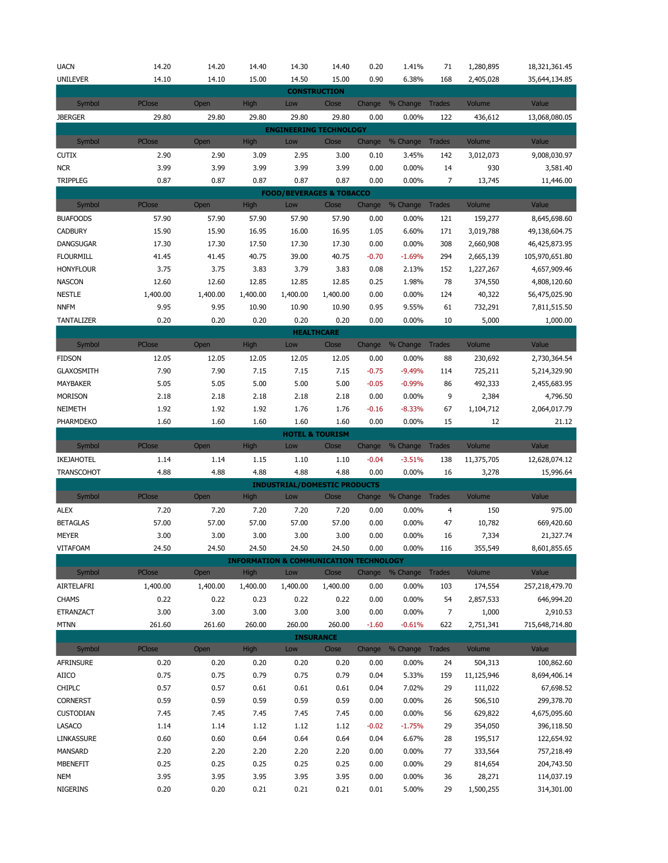| <b>UACN</b>                     | 14.20         | 14.20         | 14.40                                                      | 14.30                               | 14.40                      | 0.20         | 1.41%           | 71             | 1,280,895           | 18,321,361.45            |
|---------------------------------|---------------|---------------|------------------------------------------------------------|-------------------------------------|----------------------------|--------------|-----------------|----------------|---------------------|--------------------------|
| <b>UNILEVER</b>                 | 14.10         | 14.10         | 15.00                                                      | 14.50                               | 15.00                      | 0.90         | 6.38%           | 168            | 2,405,028           | 35,644,134.85            |
|                                 |               |               |                                                            |                                     | <b>CONSTRUCTION</b>        |              |                 |                |                     |                          |
| Symbol                          | PClose        | Open          | High                                                       | Low                                 | Close                      | Change       | % Change        | <b>Trades</b>  | Volume              | Value                    |
| <b>JBERGER</b>                  | 29.80         | 29.80         | 29.80                                                      | 29.80                               | 29.80                      | 0.00         | 0.00%           | 122            | 436,612             | 13,068,080.05            |
|                                 |               |               |                                                            | <b>ENGINEERING TECHNOLOGY</b>       |                            |              |                 |                |                     |                          |
| Symbol                          | <b>PClose</b> | Open          | High                                                       | Low                                 | Close                      | Change       | % Change        | <b>Trades</b>  | Volume              | Value                    |
| <b>CUTIX</b>                    | 2.90          | 2.90          | 3.09                                                       | 2.95                                | 3.00                       | 0.10         | 3.45%           | 142            | 3,012,073           | 9,008,030.97             |
| <b>NCR</b>                      | 3.99          | 3.99          | 3.99                                                       | 3.99                                | 3.99                       | 0.00         | 0.00%           | 14             | 930                 | 3,581.40                 |
| <b>TRIPPLEG</b>                 | 0.87          | 0.87          | 0.87                                                       | 0.87                                | 0.87                       | 0.00         | $0.00\%$        | $\overline{7}$ | 13,745              | 11,446.00                |
|                                 |               |               |                                                            | <b>FOOD/BEVERAGES &amp; TOBACCO</b> |                            |              |                 |                |                     |                          |
| Symbol                          | PClose        | Open          | High                                                       | Low                                 | Close                      | Change       | % Change        | <b>Trades</b>  | Volume              | Value                    |
| <b>BUAFOODS</b>                 | 57.90         | 57.90         | 57.90                                                      | 57.90                               | 57.90                      | 0.00         | 0.00%           | 121            | 159,277             | 8,645,698.60             |
| <b>CADBURY</b>                  | 15.90         | 15.90         | 16.95                                                      | 16.00                               | 16.95                      | 1.05         | 6.60%           | 171            | 3,019,788           | 49,138,604.75            |
| DANGSUGAR                       | 17.30         | 17.30         | 17.50                                                      | 17.30                               | 17.30                      | 0.00         | 0.00%           | 308            | 2,660,908           | 46,425,873.95            |
| <b>FLOURMILL</b>                | 41.45         | 41.45         | 40.75                                                      | 39.00                               | 40.75                      | $-0.70$      | $-1.69%$        | 294            | 2,665,139           | 105,970,651.80           |
| <b>HONYFLOUR</b>                | 3.75          | 3.75          | 3.83                                                       | 3.79                                | 3.83                       | 0.08         | 2.13%           | 152            | 1,227,267           | 4,657,909.46             |
| <b>NASCON</b>                   | 12.60         | 12.60         | 12.85                                                      | 12.85                               | 12.85                      | 0.25         | 1.98%           | 78             | 374,550             | 4,808,120.60             |
| <b>NESTLE</b>                   | 1,400.00      | 1,400.00      | 1,400.00                                                   | 1,400.00                            | 1,400.00                   | 0.00         | 0.00%           | 124            | 40,322              | 56,475,025.90            |
| <b>NNFM</b>                     | 9.95          | 9.95          | 10.90                                                      | 10.90                               | 10.90                      | 0.95         | 9.55%           | 61             | 732,291             | 7,811,515.50             |
| <b>TANTALIZER</b>               | 0.20          | 0.20          | 0.20                                                       | 0.20                                | 0.20                       | 0.00         | 0.00%           | 10             | 5,000               | 1,000.00                 |
|                                 |               |               |                                                            |                                     | <b>HEALTHCARE</b>          |              |                 |                |                     |                          |
| Symbol                          | PClose        | Open          | High                                                       | Low                                 | Close                      | Change       | % Change        | <b>Trades</b>  | Volume              | Value                    |
| <b>FIDSON</b>                   | 12.05         | 12.05         | 12.05                                                      | 12.05                               | 12.05                      | 0.00         | 0.00%           | 88             | 230,692             | 2,730,364.54             |
| <b>GLAXOSMITH</b>               | 7.90          | 7.90          | 7.15                                                       | 7.15                                | 7.15                       | $-0.75$      | $-9.49%$        | 114            | 725,211             | 5,214,329.90             |
| MAYBAKER                        | 5.05          | 5.05          | 5.00                                                       | 5.00                                | 5.00                       | $-0.05$      | $-0.99%$        | 86             | 492,333             | 2,455,683.95             |
| <b>MORISON</b>                  | 2.18          | 2.18          | 2.18                                                       | 2.18                                | 2.18                       | 0.00         | 0.00%           | 9              | 2,384               | 4,796.50                 |
| NEIMETH                         | 1.92          | 1.92          | 1.92                                                       | 1.76                                | 1.76                       | $-0.16$      | $-8.33%$        | 67             | 1,104,712           | 2,064,017.79             |
| PHARMDEKO                       | 1.60          | 1.60          | 1.60                                                       | 1.60                                | 1.60                       | 0.00         | 0.00%           | 15             | 12                  | 21.12                    |
|                                 |               |               |                                                            |                                     |                            |              |                 |                |                     |                          |
|                                 |               |               |                                                            |                                     | <b>HOTEL &amp; TOURISM</b> |              |                 |                |                     |                          |
| Symbol                          | <b>PClose</b> | Open          | High                                                       | Low                                 | Close                      | Change       | % Change        | <b>Trades</b>  | Volume              | Value                    |
| IKEJAHOTEL                      | 1.14          | 1.14          | 1.15                                                       | 1.10                                | 1.10                       | $-0.04$      | $-3.51%$        | 138            | 11,375,705          | 12,628,074.12            |
| <b>TRANSCOHOT</b>               | 4.88          | 4.88          | 4.88                                                       | 4.88                                | 4.88                       | 0.00         | 0.00%           | 16             | 3,278               | 15,996.64                |
|                                 |               |               |                                                            | <b>INDUSTRIAL/DOMESTIC PRODUCTS</b> |                            |              |                 |                |                     |                          |
| Symbol                          | PClose        | Open          | <b>High</b>                                                | Low                                 | Close                      | Change       | % Change Trades |                | Volume              | Value                    |
| <b>ALEX</b>                     | 7.20          | 7.20          | 7.20                                                       | 7.20                                | 7.20                       | 0.00         | 0.00%           | $\overline{4}$ | 150                 | 975.00                   |
| <b>BETAGLAS</b>                 | 57.00         | 57.00         | 57.00                                                      | 57.00                               | 57.00                      | 0.00         | 0.00%           | 47             | 10,782              | 669,420.60               |
| <b>MEYER</b><br><b>VITAFOAM</b> | 3.00          | 3.00<br>24.50 | 3.00                                                       | 3.00                                | 3.00                       | 0.00         | 0.00%           | 16             | 7,334               | 21,327.74                |
|                                 | 24.50         |               | 24.50<br><b>INFORMATION &amp; COMMUNICATION TECHNOLOGY</b> | 24.50                               | 24.50                      | 0.00         | 0.00%           | 116            | 355,549             | 8,601,855.65             |
| Symbol                          | <b>PClose</b> | Open          | High                                                       | Low                                 | Close                      | Change       | % Change        | <b>Trades</b>  | Volume              | Value                    |
| AIRTELAFRI                      | 1,400.00      | 1,400.00      | 1,400.00                                                   | 1,400.00                            | 1,400.00                   | 0.00         | $0.00\%$        | 103            | 174,554             | 257,218,479.70           |
| <b>CHAMS</b>                    | 0.22          | 0.22          | 0.23                                                       | 0.22                                | 0.22                       | 0.00         | 0.00%           | 54             | 2,857,533           | 646,994.20               |
| ETRANZACT                       | 3.00          | 3.00          | 3.00                                                       | 3.00                                | 3.00                       | 0.00         | 0.00%           | 7              | 1,000               | 2,910.53                 |
| <b>MTNN</b>                     | 261.60        | 261.60        | 260.00                                                     | 260.00                              | 260.00                     | $-1.60$      | $-0.61%$        | 622            | 2,751,341           | 715,648,714.80           |
|                                 |               |               |                                                            |                                     | <b>INSURANCE</b>           |              |                 |                |                     |                          |
| Symbol                          | PClose        | Open          | High                                                       | Low                                 | Close                      | Change       | % Change        | <b>Trades</b>  | Volume              | Value                    |
| AFRINSURE                       | 0.20          | 0.20          | 0.20                                                       | 0.20                                | 0.20                       | 0.00         | 0.00%           | 24             | 504,313             | 100,862.60               |
| AIICO                           | 0.75          | 0.75          | 0.79                                                       | 0.75                                | 0.79                       | 0.04         | 5.33%           | 159            | 11,125,946          | 8,694,406.14             |
| <b>CHIPLC</b>                   | 0.57          | 0.57          | 0.61                                                       | 0.61                                | 0.61                       | 0.04         | 7.02%           | 29             | 111,022             | 67,698.52                |
| <b>CORNERST</b>                 | 0.59          | 0.59          | 0.59                                                       | 0.59                                | 0.59                       | 0.00         | 0.00%           | 26             | 506,510             | 299,378.70               |
| <b>CUSTODIAN</b>                | 7.45          | 7.45          | 7.45                                                       | 7.45                                | 7.45                       | 0.00         | 0.00%           | 56             | 629,822             | 4,675,095.60             |
| LASACO                          | 1.14          | 1.14          | 1.12                                                       | 1.12                                | 1.12                       | $-0.02$      | $-1.75%$        | 29             | 354,050             | 396,118.50               |
| LINKASSURE                      | 0.60          | 0.60          | 0.64                                                       | 0.64                                | 0.64                       | 0.04         | 6.67%           | 28             | 195,517             | 122,654.92               |
| MANSARD                         | 2.20          | 2.20          | 2.20                                                       | 2.20                                | 2.20                       | 0.00         | 0.00%           | 77             | 333,564             | 757,218.49               |
| MBENEFIT                        | 0.25          | 0.25          | 0.25                                                       | 0.25                                | 0.25                       | 0.00         | 0.00%           | 29             | 814,654             | 204,743.50               |
| NEM<br>NIGERINS                 | 3.95<br>0.20  | 3.95<br>0.20  | 3.95<br>0.21                                               | 3.95<br>0.21                        | 3.95<br>0.21               | 0.00<br>0.01 | 0.00%<br>5.00%  | 36<br>29       | 28,271<br>1,500,255 | 114,037.19<br>314,301.00 |